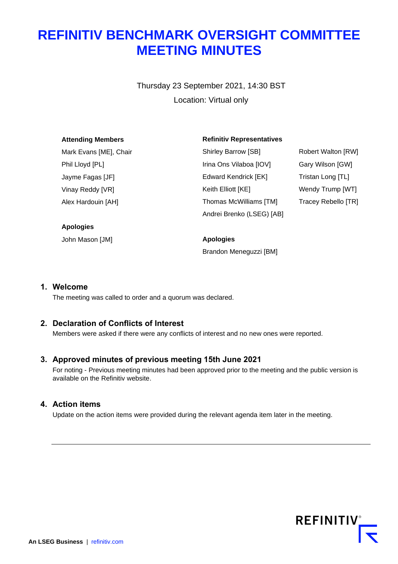# **REFINITIV BENCHMARK OVERSIGHT COMMITTEE MEETING MINUTES**

Thursday 23 September 2021, 14:30 BST Location: Virtual only

| <b>Attending Members</b> | <b>Refinitiv Representatives</b> |                           |
|--------------------------|----------------------------------|---------------------------|
| Mark Evans [ME], Chair   | Shirley Barrow [SB]              | <b>Robert Walton [RW]</b> |
| Phil Lloyd [PL]          | Irina Ons Vilaboa [IOV]          | Gary Wilson [GW]          |
| Jayme Fagas [JF]         | Edward Kendrick [EK]             | Tristan Long [TL]         |
| Vinay Reddy [VR]         | Keith Elliott [KE]               | Wendy Trump [WT]          |
| Alex Hardouin [AH]       | Thomas McWilliams [TM]           | Tracey Rebello [TR]       |
|                          | Andrei Brenko (LSEG) [AB]        |                           |
| <b>Apologies</b>         |                                  |                           |
| John Mason [JM]          | <b>Apologies</b>                 |                           |

Brandon Meneguzzi [BM]

**1. Welcome**

The meeting was called to order and a quorum was declared.

# **2. Declaration of Conflicts of Interest**

Members were asked if there were any conflicts of interest and no new ones were reported.

## **3. Approved minutes of previous meeting 15th June 2021**

For noting - Previous meeting minutes had been approved prior to the meeting and the public version is available on the Refinitiv website.

#### **4. Action items**

Update on the action items were provided during the relevant agenda item later in the meeting.

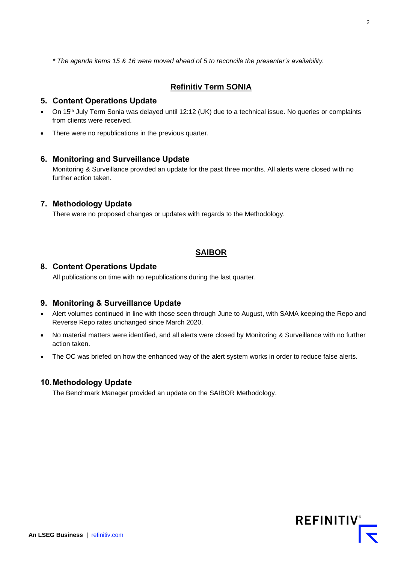*\* The agenda items 15 & 16 were moved ahead of 5 to reconcile the presenter's availability.*

# **Refinitiv Term SONIA**

## **5. Content Operations Update**

- On 15<sup>th</sup> July Term Sonia was delayed until 12:12 (UK) due to a technical issue. No queries or complaints from clients were received.
- There were no republications in the previous quarter.

## **6. Monitoring and Surveillance Update**

Monitoring & Surveillance provided an update for the past three months. All alerts were closed with no further action taken.

## **7. Methodology Update**

There were no proposed changes or updates with regards to the Methodology.

# **SAIBOR**

#### **8. Content Operations Update**

All publications on time with no republications during the last quarter.

## **9. Monitoring & Surveillance Update**

- Alert volumes continued in line with those seen through June to August, with SAMA keeping the Repo and Reverse Repo rates unchanged since March 2020.
- No material matters were identified, and all alerts were closed by Monitoring & Surveillance with no further action taken.
- The OC was briefed on how the enhanced way of the alert system works in order to reduce false alerts.

#### **10.Methodology Update**

The Benchmark Manager provided an update on the SAIBOR Methodology.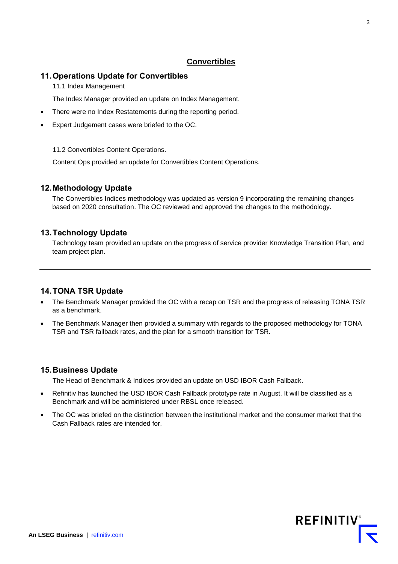# **Convertibles**

# **11.Operations Update for Convertibles**

11.1 Index Management

The Index Manager provided an update on Index Management.

- There were no Index Restatements during the reporting period.
- Expert Judgement cases were briefed to the OC.

11.2 Convertibles Content Operations.

Content Ops provided an update for Convertibles Content Operations.

# **12.Methodology Update**

The Convertibles Indices methodology was updated as version 9 incorporating the remaining changes based on 2020 consultation. The OC reviewed and approved the changes to the methodology.

## **13.Technology Update**

Technology team provided an update on the progress of service provider Knowledge Transition Plan, and team project plan.

# **14.TONA TSR Update**

- The Benchmark Manager provided the OC with a recap on TSR and the progress of releasing TONA TSR as a benchmark.
- The Benchmark Manager then provided a summary with regards to the proposed methodology for TONA TSR and TSR fallback rates, and the plan for a smooth transition for TSR.

## **15.Business Update**

The Head of Benchmark & Indices provided an update on USD IBOR Cash Fallback.

- Refinitiv has launched the USD IBOR Cash Fallback prototype rate in August. It will be classified as a Benchmark and will be administered under RBSL once released.
- The OC was briefed on the distinction between the institutional market and the consumer market that the Cash Fallback rates are intended for.